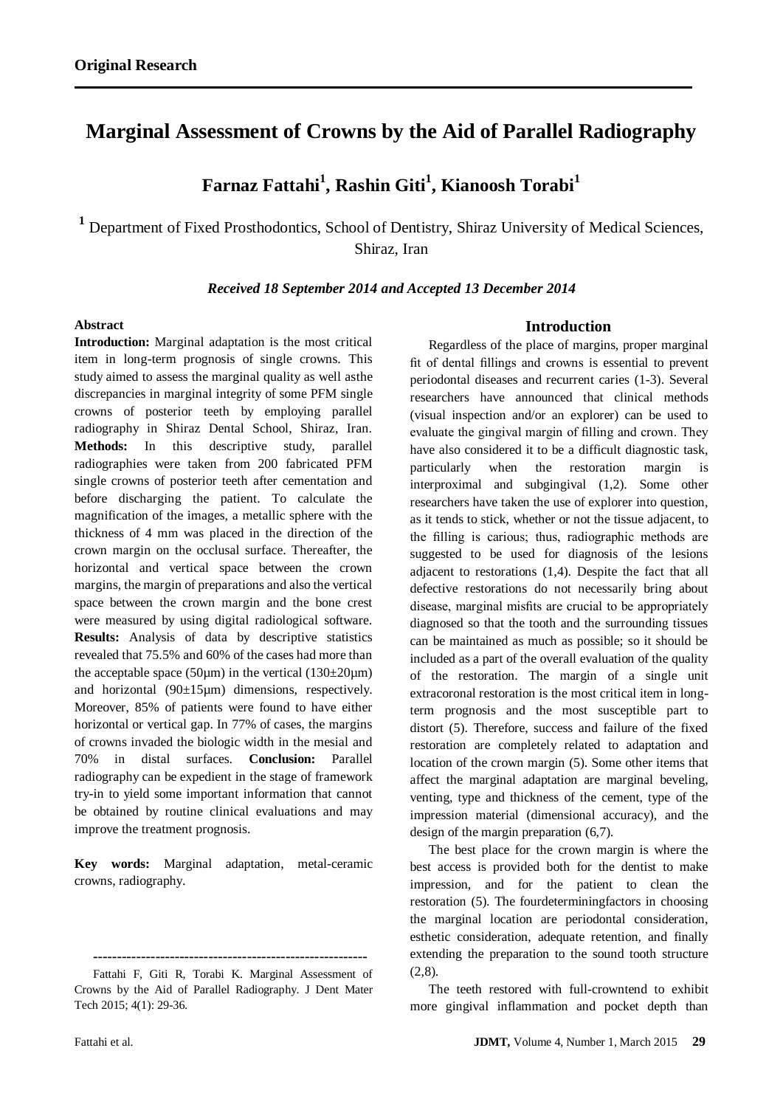# **Marginal Assessment of Crowns by the Aid of Parallel Radiography**

**Farnaz Fattahi<sup>1</sup> , Rashin Giti<sup>1</sup> , Kianoosh Torabi<sup>1</sup>**

**<sup>1</sup>** Department of Fixed Prosthodontics, School of Dentistry, Shiraz University of Medical Sciences, Shiraz, Iran

#### *Received 18 September 2014 and Accepted 13 December 2014*

## **Abstract**

**Introduction:** Marginal adaptation is the most critical item in long-term prognosis of single crowns. This study aimed to assess the marginal quality as well asthe discrepancies in marginal integrity of some PFM single crowns of posterior teeth by employing parallel radiography in Shiraz Dental School, Shiraz, Iran. **Methods:** In this descriptive study, parallel radiographies were taken from 200 fabricated PFM single crowns of posterior teeth after cementation and before discharging the patient. To calculate the magnification of the images, a metallic sphere with the thickness of 4 mm was placed in the direction of the crown margin on the occlusal surface. Thereafter, the horizontal and vertical space between the crown margins, the margin of preparations and also the vertical space between the crown margin and the bone crest were measured by using digital radiological software. **Results:** Analysis of data by descriptive statistics revealed that 75.5% and 60% of the cases had more than the acceptable space (50 $\mu$ m) in the vertical (130 $\pm$ 20 $\mu$ m) and horizontal (90±15µm) dimensions, respectively. Moreover, 85% of patients were found to have either horizontal or vertical gap. In 77% of cases, the margins of crowns invaded the biologic width in the mesial and 70% in distal surfaces. **Conclusion:** Parallel radiography can be expedient in the stage of framework try-in to yield some important information that cannot be obtained by routine clinical evaluations and may improve the treatment prognosis.

**Key words:** Marginal adaptation, metal-ceramic crowns, radiography.

**---------------------------------------------------------**

Fattahi F, Giti R, Torabi K. Marginal Assessment of Crowns by the Aid of Parallel Radiography. J Dent Mater Tech 2015; 4(1): 29-36.

#### **Introduction**

Regardless of the place of margins, proper marginal fit of dental fillings and crowns is essential to prevent periodontal diseases and recurrent caries (1-3). Several researchers have announced that clinical methods (visual inspection and/or an explorer) can be used to evaluate the gingival margin of filling and crown. They have also considered it to be a difficult diagnostic task, particularly when the restoration margin is interproximal and subgingival (1,2). Some other researchers have taken the use of explorer into question, as it tends to stick, whether or not the tissue adjacent, to the filling is carious; thus, radiographic methods are suggested to be used for diagnosis of the lesions adjacent to restorations (1,4). Despite the fact that all defective restorations do not necessarily bring about disease, marginal misfits are crucial to be appropriately diagnosed so that the tooth and the surrounding tissues can be maintained as much as possible; so it should be included as a part of the overall evaluation of the quality of the restoration. The margin of a single unit extracoronal restoration is the most critical item in longterm prognosis and the most susceptible part to distort (5). Therefore, success and failure of the fixed restoration are completely related to adaptation and location of the crown margin (5). Some other items that affect the marginal adaptation are marginal beveling, venting, type and thickness of the cement, type of the impression material (dimensional accuracy), and the design of the margin preparation (6,7).

The best place for the crown margin is where the best access is provided both for the dentist to make impression, and for the patient to clean the restoration (5). The fourdeterminingfactors in choosing the marginal location are periodontal consideration, esthetic consideration, adequate retention, and finally extending the preparation to the sound tooth structure  $(2,8)$ .

The teeth restored with full-crowntend to exhibit more gingival inflammation and pocket depth than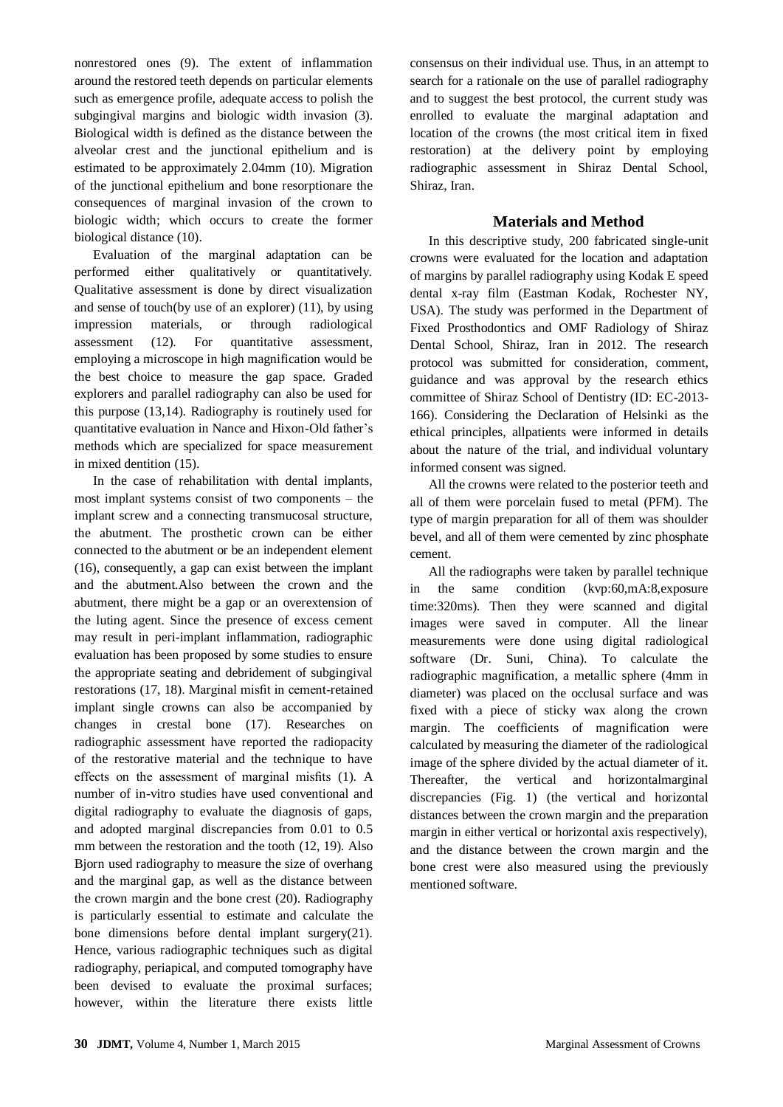nonrestored ones (9). The extent of inflammation around the restored teeth depends on particular elements such as emergence profile, adequate access to polish the subgingival margins and biologic width invasion (3). Biological width is defined as the distance between the alveolar crest and the junctional epithelium and is estimated to be approximately 2.04mm (10). Migration of the junctional epithelium and bone resorptionare the consequences of marginal invasion of the crown to biologic width; which occurs to create the former biological distance (10).

Evaluation of the marginal adaptation can be performed either qualitatively or quantitatively. Qualitative assessment is done by direct visualization and sense of touch(by use of an explorer) (11), by using impression materials, or through radiological assessment (12). For quantitative assessment, employing a microscope in high magnification would be the best choice to measure the gap space. Graded explorers and parallel radiography can also be used for this purpose (13,14). Radiography is routinely used for quantitative evaluation in Nance and Hixon-Old father's methods which are specialized for space measurement in mixed dentition (15).

In the case of rehabilitation with dental implants, most implant systems consist of two components – the implant screw and a connecting transmucosal structure, the abutment. The prosthetic crown can be either connected to the abutment or be an independent element (16), consequently, a gap can exist between the implant and the abutment.Also between the crown and the abutment, there might be a gap or an overextension of the luting agent. Since the presence of excess cement may result in peri-implant inflammation, radiographic evaluation has been proposed by some studies to ensure the appropriate seating and debridement of subgingival restorations (17, 18). Marginal misfit in cement-retained implant single crowns can also be accompanied by changes in crestal bone (17). Researches on radiographic assessment have reported the radiopacity of the restorative material and the technique to have effects on the assessment of marginal misfits (1). A number of in-vitro studies have used conventional and digital radiography to evaluate the diagnosis of gaps, and adopted marginal discrepancies from 0.01 to 0.5 mm between the restoration and the tooth (12, 19). Also Bjorn used radiography to measure the size of overhang and the marginal gap, as well as the distance between the crown margin and the bone crest (20). Radiography is particularly essential to estimate and calculate the bone dimensions before dental implant surgery(21). Hence, various radiographic techniques such as digital radiography, periapical, and computed tomography have been devised to evaluate the proximal surfaces; however, within the literature there exists little

consensus on their individual use. Thus, in an attempt to search for a rationale on the use of parallel radiography and to suggest the best protocol, the current study was enrolled to evaluate the marginal adaptation and location of the crowns (the most critical item in fixed restoration) at the delivery point by employing radiographic assessment in Shiraz Dental School, Shiraz, Iran.

## **Materials and Method**

In this descriptive study, 200 fabricated single-unit crowns were evaluated for the location and adaptation of margins by parallel radiography using Kodak E speed dental x-ray film (Eastman Kodak, Rochester NY, USA). The study was performed in the Department of Fixed Prosthodontics and OMF Radiology of Shiraz Dental School, Shiraz, Iran in 2012. The research protocol was submitted for consideration, comment, guidance and was approval by the research ethics committee of Shiraz School of Dentistry (ID: EC-2013- 166). Considering the Declaration of Helsinki as the ethical principles, allpatients were informed in details about the nature of the trial, and individual voluntary informed consent was signed.

All the crowns were related to the posterior teeth and all of them were porcelain fused to metal (PFM). The type of margin preparation for all of them was shoulder bevel, and all of them were cemented by zinc phosphate cement.

All the radiographs were taken by parallel technique in the same condition (kvp:60,mA:8,exposure time:320ms). Then they were scanned and digital images were saved in computer. All the linear measurements were done using digital radiological software (Dr. Suni, China). To calculate the radiographic magnification, a metallic sphere (4mm in diameter) was placed on the occlusal surface and was fixed with a piece of sticky wax along the crown margin. The coefficients of magnification were calculated by measuring the diameter of the radiological image of the sphere divided by the actual diameter of it. Thereafter, the vertical and horizontalmarginal discrepancies (Fig. 1) (the vertical and horizontal distances between the crown margin and the preparation margin in either vertical or horizontal axis respectively), and the distance between the crown margin and the bone crest were also measured using the previously mentioned software.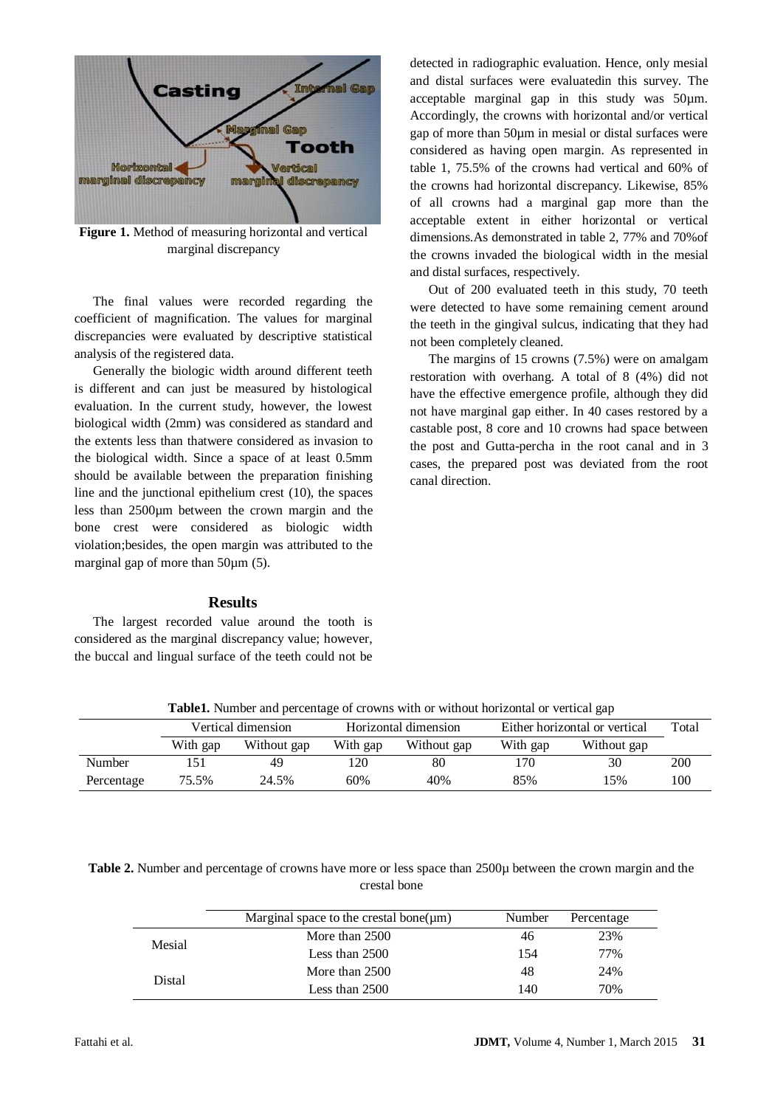

**Figure 1.** Method of measuring horizontal and vertical marginal discrepancy

The final values were recorded regarding the coefficient of magnification. The values for marginal discrepancies were evaluated by descriptive statistical analysis of the registered data.

Generally the biologic width around different teeth is different and can just be measured by histological evaluation. In the current study, however, the lowest biological width (2mm) was considered as standard and the extents less than thatwere considered as invasion to the biological width. Since a space of at least 0.5mm should be available between the preparation finishing line and the junctional epithelium crest (10), the spaces less than 2500µm between the crown margin and the bone crest were considered as biologic width violation;besides, the open margin was attributed to the marginal gap of more than 50 $\mu$ m (5).

#### **Results**

The largest recorded value around the tooth is considered as the marginal discrepancy value; however, the buccal and lingual surface of the teeth could not be

detected in radiographic evaluation. Hence, only mesial and distal surfaces were evaluatedin this survey. The acceptable marginal gap in this study was 50µm. Accordingly, the crowns with horizontal and/or vertical gap of more than 50µm in mesial or distal surfaces were considered as having open margin. As represented in table 1, 75.5% of the crowns had vertical and 60% of the crowns had horizontal discrepancy. Likewise, 85% of all crowns had a marginal gap more than the acceptable extent in either horizontal or vertical dimensions.As demonstrated in table 2, 77% and 70%of the crowns invaded the biological width in the mesial and distal surfaces, respectively.

Out of 200 evaluated teeth in this study, 70 teeth were detected to have some remaining cement around the teeth in the gingival sulcus, indicating that they had not been completely cleaned.

The margins of 15 crowns (7.5%) were on amalgam restoration with overhang. A total of 8 (4%) did not have the effective emergence profile, although they did not have marginal gap either. In 40 cases restored by a castable post, 8 core and 10 crowns had space between the post and Gutta-percha in the root canal and in 3 cases, the prepared post was deviated from the root canal direction.

| <b>Table1.</b> Number and percentage of crowns with or without horizontal or vertical gap |                    |             |                      |             |                               |             |       |  |
|-------------------------------------------------------------------------------------------|--------------------|-------------|----------------------|-------------|-------------------------------|-------------|-------|--|
|                                                                                           | Vertical dimension |             | Horizontal dimension |             | Either horizontal or vertical |             | Total |  |
|                                                                                           | With gap           | Without gap | With gap             | Without gap | With gap                      | Without gap |       |  |
| Number                                                                                    |                    | 49          | 120                  | 80          | 170                           | 30          | 200   |  |
| Percentage                                                                                | 75.5%              | 24.5%       | 60%                  | 40%         | 85%                           | .5%         | 100   |  |

**Table1.** Number and percentage of crowns with or without horizontal or vertical gap

**Table 2.** Number and percentage of crowns have more or less space than 2500µ between the crown margin and the crestal bone

|        | Marginal space to the crestal bone( $\mu$ m) | Number | Percentage |
|--------|----------------------------------------------|--------|------------|
| Mesial | More than 2500                               | 46     | 23%        |
|        | Less than $2500$                             | 154    | 77%        |
| Distal | More than 2500                               | 48     | 24%        |
|        | Less than $2500$                             | 140    | 70%        |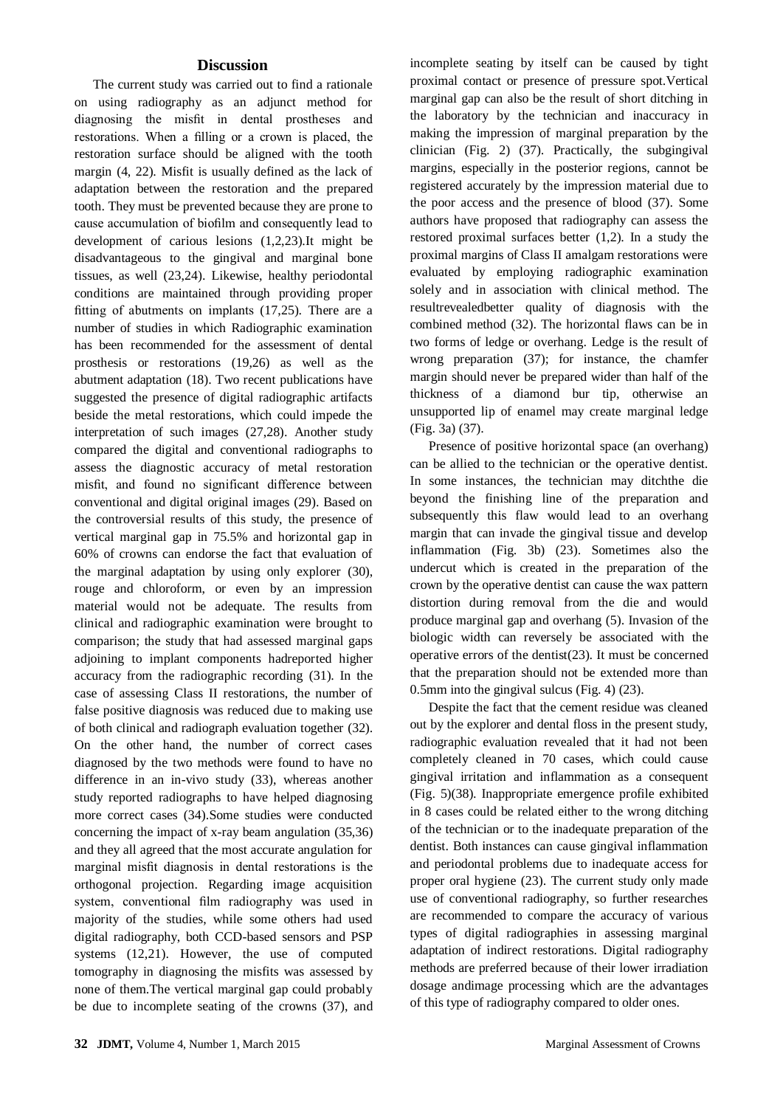## **Discussion**

The current study was carried out to find a rationale on using radiography as an adjunct method for diagnosing the misfit in dental prostheses and restorations. When a filling or a crown is placed, the restoration surface should be aligned with the tooth margin (4, 22). Misfit is usually defined as the lack of adaptation between the restoration and the prepared tooth. They must be prevented because they are prone to cause accumulation of biofilm and consequently lead to development of carious lesions (1,2,23).It might be disadvantageous to the gingival and marginal bone tissues, as well (23,24). Likewise, healthy periodontal conditions are maintained through providing proper fitting of abutments on implants (17,25). There are a number of studies in which Radiographic examination has been recommended for the assessment of dental prosthesis or restorations (19,26) as well as the abutment adaptation (18). Two recent publications have suggested the presence of digital radiographic artifacts beside the metal restorations, which could impede the interpretation of such images (27,28). Another study compared the digital and conventional radiographs to assess the diagnostic accuracy of metal restoration misfit, and found no significant difference between conventional and digital original images (29). Based on the controversial results of this study, the presence of vertical marginal gap in 75.5% and horizontal gap in 60% of crowns can endorse the fact that evaluation of the marginal adaptation by using only explorer (30), rouge and chloroform, or even by an impression material would not be adequate. The results from clinical and radiographic examination were brought to comparison; the study that had assessed marginal gaps adjoining to implant components hadreported higher accuracy from the radiographic recording (31). In the case of assessing Class II restorations, the number of false positive diagnosis was reduced due to making use of both clinical and radiograph evaluation together (32). On the other hand, the number of correct cases diagnosed by the two methods were found to have no difference in an in-vivo study (33), whereas another study reported radiographs to have helped diagnosing more correct cases (34).Some studies were conducted concerning the impact of x-ray beam angulation (35,36) and they all agreed that the most accurate angulation for marginal misfit diagnosis in dental restorations is the orthogonal projection. Regarding image acquisition system, conventional film radiography was used in majority of the studies, while some others had used digital radiography, both CCD-based sensors and PSP systems (12,21). However, the use of computed tomography in diagnosing the misfits was assessed by none of them.The vertical marginal gap could probably be due to incomplete seating of the crowns (37), and incomplete seating by itself can be caused by tight proximal contact or presence of pressure spot.Vertical marginal gap can also be the result of short ditching in the laboratory by the technician and inaccuracy in making the impression of marginal preparation by the clinician (Fig. 2) (37). Practically, the subgingival margins, especially in the posterior regions, cannot be registered accurately by the impression material due to the poor access and the presence of blood (37). Some authors have proposed that radiography can assess the restored proximal surfaces better (1,2). In a study the proximal margins of Class II amalgam restorations were evaluated by employing radiographic examination solely and in association with clinical method. The resultrevealedbetter quality of diagnosis with the combined method (32). The horizontal flaws can be in two forms of ledge or overhang. Ledge is the result of wrong preparation (37); for instance, the chamfer margin should never be prepared wider than half of the thickness of a diamond bur tip, otherwise an unsupported lip of enamel may create marginal ledge (Fig. 3a) (37).

Presence of positive horizontal space (an overhang) can be allied to the technician or the operative dentist. In some instances, the technician may ditchthe die beyond the finishing line of the preparation and subsequently this flaw would lead to an overhang margin that can invade the gingival tissue and develop inflammation (Fig. 3b) (23). Sometimes also the undercut which is created in the preparation of the crown by the operative dentist can cause the wax pattern distortion during removal from the die and would produce marginal gap and overhang (5). Invasion of the biologic width can reversely be associated with the operative errors of the dentist(23). It must be concerned that the preparation should not be extended more than 0.5mm into the gingival sulcus (Fig. 4) (23).

Despite the fact that the cement residue was cleaned out by the explorer and dental floss in the present study, radiographic evaluation revealed that it had not been completely cleaned in 70 cases, which could cause gingival irritation and inflammation as a consequent (Fig. 5)(38). Inappropriate emergence profile exhibited in 8 cases could be related either to the wrong ditching of the technician or to the inadequate preparation of the dentist. Both instances can cause gingival inflammation and periodontal problems due to inadequate access for proper oral hygiene (23). The current study only made use of conventional radiography, so further researches are recommended to compare the accuracy of various types of digital radiographies in assessing marginal adaptation of indirect restorations. Digital radiography methods are preferred because of their lower irradiation dosage andimage processing which are the advantages of this type of radiography compared to older ones.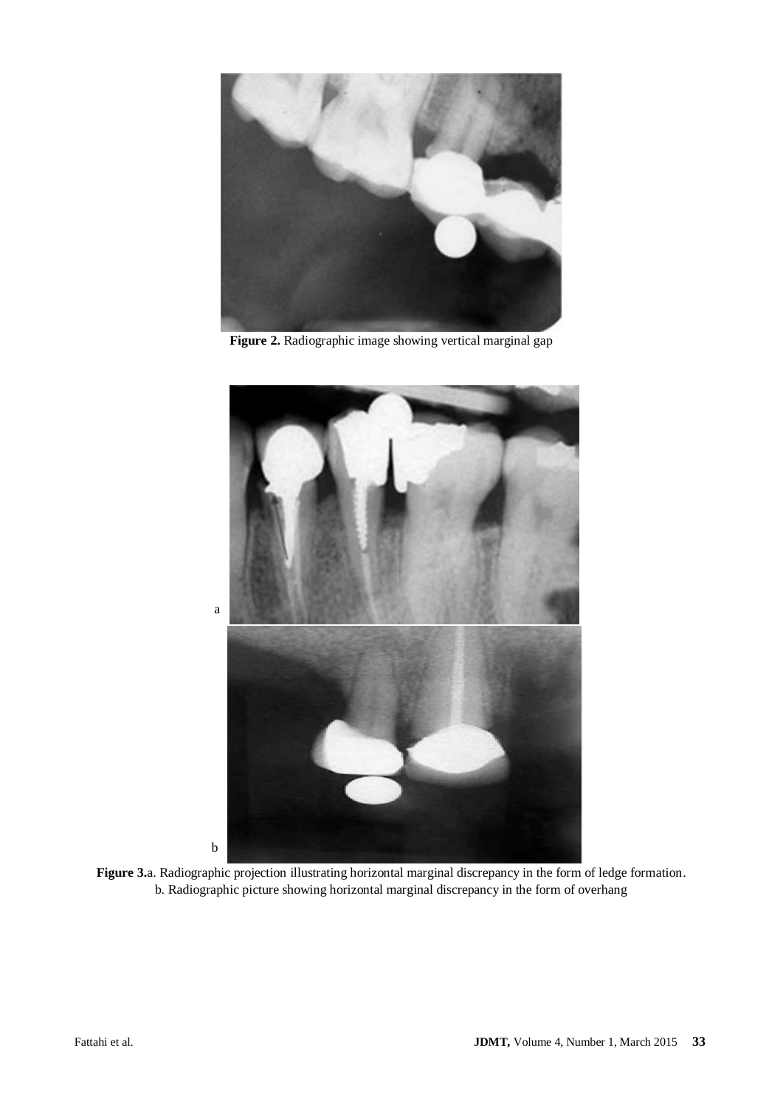

**Figure 2.** Radiographic image showing vertical marginal gap



**Figure 3.**a. Radiographic projection illustrating horizontal marginal discrepancy in the form of ledge formation. b. Radiographic picture showing horizontal marginal discrepancy in the form of overhang

b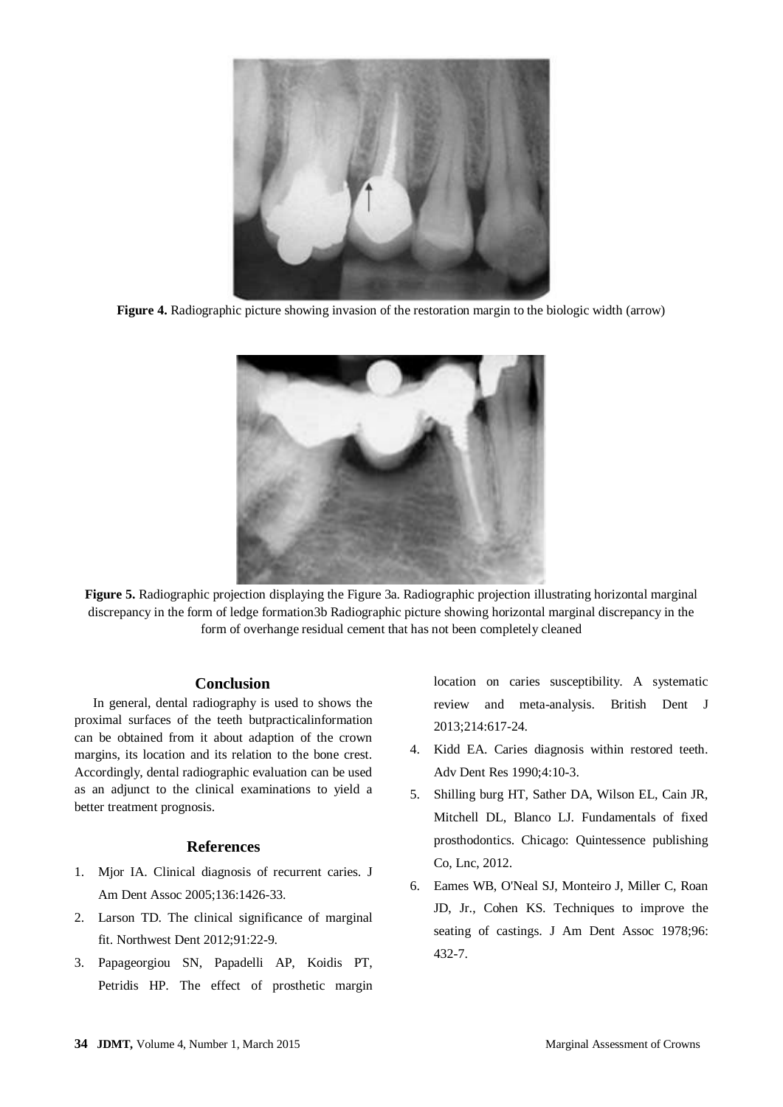

**Figure 4.** Radiographic picture showing invasion of the restoration margin to the biologic width (arrow)



**Figure 5.** Radiographic projection displaying the Figure 3a. Radiographic projection illustrating horizontal marginal discrepancy in the form of ledge formation3b Radiographic picture showing horizontal marginal discrepancy in the form of overhange residual cement that has not been completely cleaned

### **Conclusion**

In general, dental radiography is used to shows the proximal surfaces of the teeth butpracticalinformation can be obtained from it about adaption of the crown margins, its location and its relation to the bone crest. Accordingly, dental radiographic evaluation can be used as an adjunct to the clinical examinations to yield a better treatment prognosis.

## **References**

- 1. Mjor IA. Clinical diagnosis of recurrent caries. J Am Dent Assoc 2005;136:1426-33.
- 2. Larson TD. The clinical significance of marginal fit. Northwest Dent 2012;91:22-9.
- 3. Papageorgiou SN, Papadelli AP, Koidis PT, Petridis HP. The effect of prosthetic margin

location on caries susceptibility. A systematic review and meta-analysis. British Dent J 2013;214:617-24.

- 4. Kidd EA. Caries diagnosis within restored teeth. Adv Dent Res 1990;4:10-3.
- 5. Shilling burg HT, Sather DA, Wilson EL, Cain JR, Mitchell DL, Blanco LJ. Fundamentals of fixed prosthodontics. Chicago: Quintessence publishing Co, Lnc, 2012.
- 6. Eames WB, O'Neal SJ, Monteiro J, Miller C, Roan JD, Jr., Cohen KS. Techniques to improve the seating of castings. J Am Dent Assoc 1978;96: 432-7.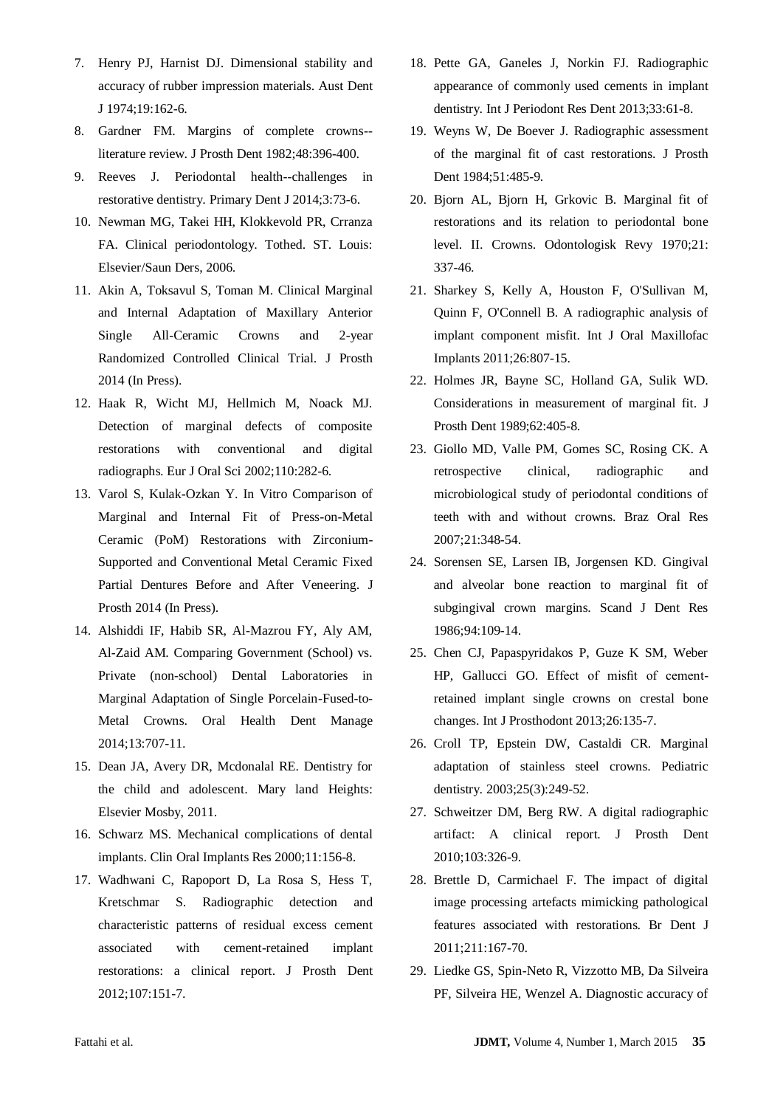- 7. Henry PJ, Harnist DJ. Dimensional stability and accuracy of rubber impression materials. Aust Dent J 1974;19:162-6.
- 8. Gardner FM. Margins of complete crowns- literature review. J Prosth Dent 1982;48:396-400.
- 9. Reeves J. Periodontal health--challenges in restorative dentistry. Primary Dent J 2014;3:73-6.
- 10. Newman MG, Takei HH, Klokkevold PR, Crranza FA. Clinical periodontology. Tothed. ST. Louis: Elsevier/Saun Ders, 2006.
- 11. Akin A, Toksavul S, Toman M. Clinical Marginal and Internal Adaptation of Maxillary Anterior Single All-Ceramic Crowns and 2-year Randomized Controlled Clinical Trial. J Prosth 2014 (In Press).
- 12. Haak R, Wicht MJ, Hellmich M, Noack MJ. Detection of marginal defects of composite restorations with conventional and digital radiographs. Eur J Oral Sci 2002;110:282-6.
- 13. Varol S, Kulak-Ozkan Y. In Vitro Comparison of Marginal and Internal Fit of Press-on-Metal Ceramic (PoM) Restorations with Zirconium-Supported and Conventional Metal Ceramic Fixed Partial Dentures Before and After Veneering. J Prosth 2014 (In Press).
- 14. Alshiddi IF, Habib SR, Al-Mazrou FY, Aly AM, Al-Zaid AM. Comparing Government (School) vs. Private (non-school) Dental Laboratories in Marginal Adaptation of Single Porcelain-Fused-to-Metal Crowns. Oral Health Dent Manage 2014;13:707-11.
- 15. Dean JA, Avery DR, Mcdonalal RE. Dentistry for the child and adolescent. Mary land Heights: Elsevier Mosby, 2011.
- 16. Schwarz MS. Mechanical complications of dental implants. Clin Oral Implants Res 2000;11:156-8.
- 17. Wadhwani C, Rapoport D, La Rosa S, Hess T, Kretschmar S. Radiographic detection and characteristic patterns of residual excess cement associated with cement-retained implant restorations: a clinical report. J Prosth Dent 2012;107:151-7.
- 18. Pette GA, Ganeles J, Norkin FJ. Radiographic appearance of commonly used cements in implant dentistry. Int J Periodont Res Dent 2013;33:61-8.
- 19. Weyns W, De Boever J. Radiographic assessment of the marginal fit of cast restorations. J Prosth Dent 1984;51:485-9.
- 20. Bjorn AL, Bjorn H, Grkovic B. Marginal fit of restorations and its relation to periodontal bone level. II. Crowns. Odontologisk Revy 1970;21: 337-46.
- 21. Sharkey S, Kelly A, Houston F, O'Sullivan M, Quinn F, O'Connell B. A radiographic analysis of implant component misfit. Int J Oral Maxillofac Implants 2011;26:807-15.
- 22. Holmes JR, Bayne SC, Holland GA, Sulik WD. Considerations in measurement of marginal fit. J Prosth Dent 1989;62:405-8.
- 23. Giollo MD, Valle PM, Gomes SC, Rosing CK. A retrospective clinical, radiographic and microbiological study of periodontal conditions of teeth with and without crowns. Braz Oral Res 2007;21:348-54.
- 24. Sorensen SE, Larsen IB, Jorgensen KD. Gingival and alveolar bone reaction to marginal fit of subgingival crown margins. Scand J Dent Res 1986;94:109-14.
- 25. Chen CJ, Papaspyridakos P, Guze K SM, Weber HP, Gallucci GO. Effect of misfit of cementretained implant single crowns on crestal bone changes. Int J Prosthodont 2013;26:135-7.
- 26. Croll TP, Epstein DW, Castaldi CR. Marginal adaptation of stainless steel crowns. Pediatric dentistry. 2003;25(3):249-52.
- 27. Schweitzer DM, Berg RW. A digital radiographic artifact: A clinical report. J Prosth Dent 2010;103:326-9.
- 28. Brettle D, Carmichael F. The impact of digital image processing artefacts mimicking pathological features associated with restorations. Br Dent J 2011;211:167-70.
- 29. Liedke GS, Spin-Neto R, Vizzotto MB, Da Silveira PF, Silveira HE, Wenzel A. Diagnostic accuracy of